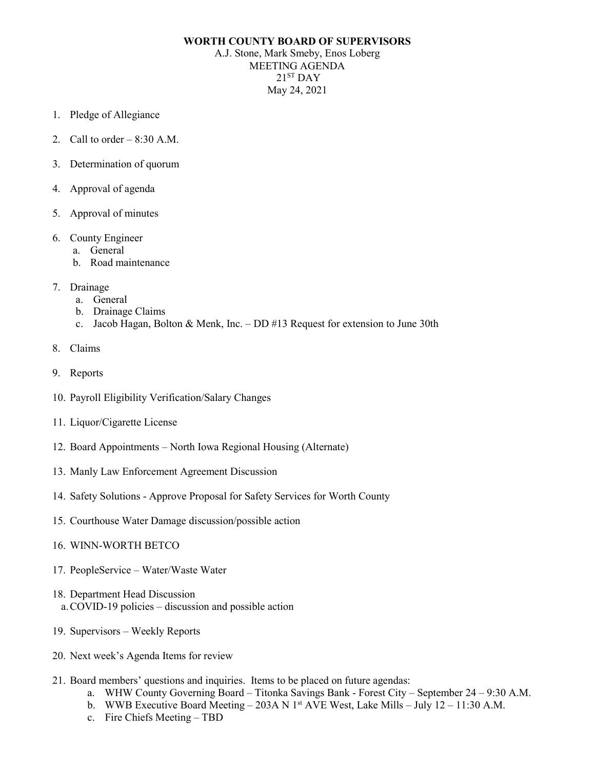## **WORTH COUNTY BOARD OF SUPERVISORS**

A.J. Stone, Mark Smeby, Enos Loberg MEETING AGENDA  $21<sup>ST</sup>$  DAY May 24, 2021

- 1. Pledge of Allegiance
- 2. Call to order  $-8:30$  A.M.
- 3. Determination of quorum
- 4. Approval of agenda
- 5. Approval of minutes
- 6. County Engineer
	- a. General
	- b. Road maintenance
- 7. Drainage
	- a. General
	- b. Drainage Claims
	- c. Jacob Hagan, Bolton & Menk, Inc. DD #13 Request for extension to June 30th
- 8. Claims
- 9. Reports
- 10. Payroll Eligibility Verification/Salary Changes
- 11. Liquor/Cigarette License
- 12. Board Appointments North Iowa Regional Housing (Alternate)
- 13. Manly Law Enforcement Agreement Discussion
- 14. Safety Solutions Approve Proposal for Safety Services for Worth County
- 15. Courthouse Water Damage discussion/possible action
- 16. WINN-WORTH BETCO
- 17. PeopleService Water/Waste Water
- 18. Department Head Discussion a.COVID-19 policies – discussion and possible action
- 19. Supervisors Weekly Reports
- 20. Next week's Agenda Items for review
- 21. Board members' questions and inquiries. Items to be placed on future agendas:
	- a. WHW County Governing Board Titonka Savings Bank Forest City September 24 9:30 A.M.
	- b. WWB Executive Board Meeting 203A N 1st AVE West, Lake Mills July 12 11:30 A.M.
	- c. Fire Chiefs Meeting TBD